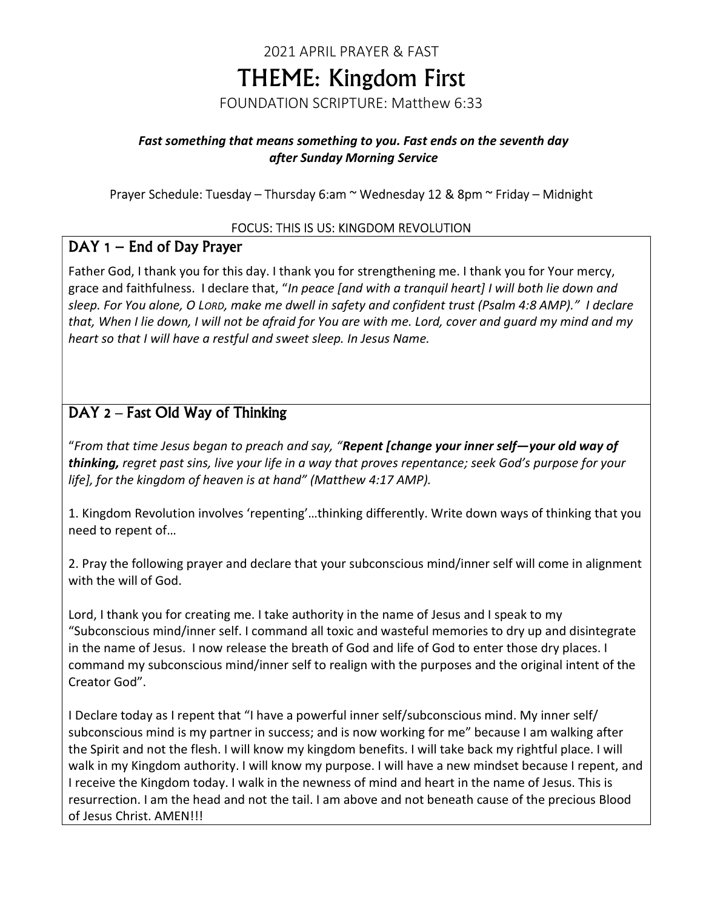# 2021 APRIL PRAYER & FAST THEME: Kingdom First FOUNDATION SCRIPTURE: Matthew 6:33

### Fast something that means something to you. Fast ends on the seventh day after Sunday Morning Service

### Prayer Schedule: Tuesday – Thursday 6:am ~ Wednesday 12 & 8pm ~ Friday – Midnight

#### FOCUS: THIS IS US: KINGDOM REVOLUTION

### DAY 1 – End of Day Prayer

Father God, I thank you for this day. I thank you for strengthening me. I thank you for Your mercy, grace and faithfulness. I declare that, "In peace [and with a tranquil heart] I will both lie down and sleep. For You alone, O LORD, make me dwell in safety and confident trust (Psalm 4:8 AMP)." I declare that, When I lie down, I will not be afraid for You are with me. Lord, cover and guard my mind and my heart so that I will have a restful and sweet sleep. In Jesus Name.

## DAY 2 – Fast Old Way of Thinking

"From that time Jesus began to preach and say, "Repent [change your inner self-your old way of thinking, regret past sins, live your life in a way that proves repentance; seek God's purpose for your life], for the kingdom of heaven is at hand" (Matthew 4:17 AMP).

1. Kingdom Revolution involves 'repenting'…thinking differently. Write down ways of thinking that you need to repent of…

2. Pray the following prayer and declare that your subconscious mind/inner self will come in alignment with the will of God.

Lord, I thank you for creating me. I take authority in the name of Jesus and I speak to my "Subconscious mind/inner self. I command all toxic and wasteful memories to dry up and disintegrate in the name of Jesus. I now release the breath of God and life of God to enter those dry places. I command my subconscious mind/inner self to realign with the purposes and the original intent of the Creator God".

I Declare today as I repent that "I have a powerful inner self/subconscious mind. My inner self/ subconscious mind is my partner in success; and is now working for me" because I am walking after the Spirit and not the flesh. I will know my kingdom benefits. I will take back my rightful place. I will walk in my Kingdom authority. I will know my purpose. I will have a new mindset because I repent, and I receive the Kingdom today. I walk in the newness of mind and heart in the name of Jesus. This is resurrection. I am the head and not the tail. I am above and not beneath cause of the precious Blood of Jesus Christ. AMEN!!!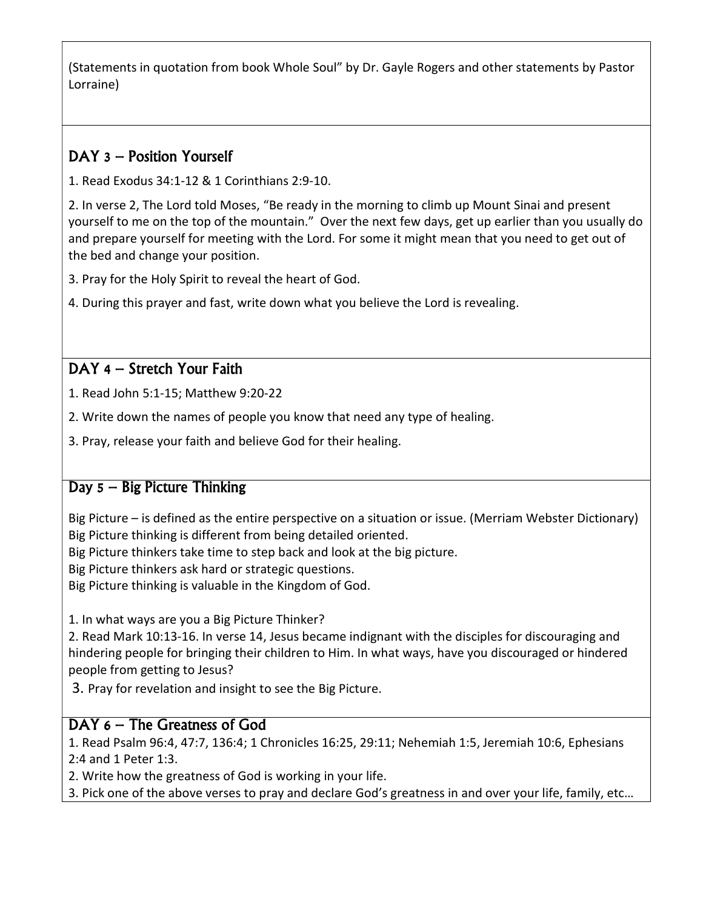(Statements in quotation from book Whole Soul" by Dr. Gayle Rogers and other statements by Pastor Lorraine)

## DAY 3 – Position Yourself

1. Read Exodus 34:1-12 & 1 Corinthians 2:9-10.

2. In verse 2, The Lord told Moses, "Be ready in the morning to climb up Mount Sinai and present yourself to me on the top of the mountain." Over the next few days, get up earlier than you usually do and prepare yourself for meeting with the Lord. For some it might mean that you need to get out of the bed and change your position.

3. Pray for the Holy Spirit to reveal the heart of God.

4. During this prayer and fast, write down what you believe the Lord is revealing.

## DAY 4 – Stretch Your Faith

1. Read John 5:1-15; Matthew 9:20-22

- 2. Write down the names of people you know that need any type of healing.
- 3. Pray, release your faith and believe God for their healing.

## Day 5 – Big Picture Thinking

Big Picture – is defined as the entire perspective on a situation or issue. (Merriam Webster Dictionary) Big Picture thinking is different from being detailed oriented.

Big Picture thinkers take time to step back and look at the big picture.

Big Picture thinkers ask hard or strategic questions.

Big Picture thinking is valuable in the Kingdom of God.

1. In what ways are you a Big Picture Thinker?

2. Read Mark 10:13-16. In verse 14, Jesus became indignant with the disciples for discouraging and hindering people for bringing their children to Him. In what ways, have you discouraged or hindered people from getting to Jesus?

3. Pray for revelation and insight to see the Big Picture.

### DAY 6 – The Greatness of God

1. Read Psalm 96:4, 47:7, 136:4; 1 Chronicles 16:25, 29:11; Nehemiah 1:5, Jeremiah 10:6, Ephesians 2:4 and 1 Peter 1:3.

2. Write how the greatness of God is working in your life.

3. Pick one of the above verses to pray and declare God's greatness in and over your life, family, etc…